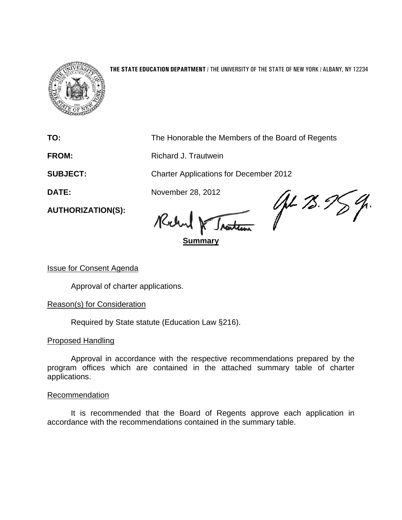

#### **THE STATE EDUCATION DEPARTMENT** / THE UNIVERSITY OF THE STATE OF NEW YORK / ALBANY, NY 12234

**TO:** The Honorable the Members of the Board of Regents

**FROM:** Richard J. Trautwein

**SUBJECT:** Charter Applications for December 2012

Robert

**Summary**

DATE: November 28, 2012<br>AUTHORIZATION(S): Rulind M.

Issue for Consent Agenda

**AUTHORIZATION(S):**

Approval of charter applications.

## Reason(s) for Consideration

Required by State statute (Education Law §216).

## Proposed Handling

Approval in accordance with the respective recommendations prepared by the program offices which are contained in the attached summary table of charter applications.

#### Recommendation

It is recommended that the Board of Regents approve each application in accordance with the recommendations contained in the summary table.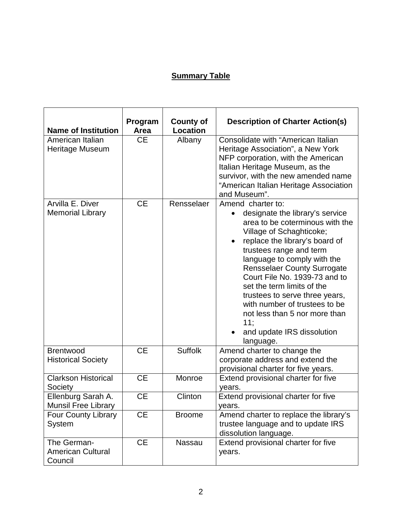# **Summary Table**

| <b>Name of Institution</b>                         | Program<br>Area | <b>County of</b><br><b>Location</b> | <b>Description of Charter Action(s)</b>                                                                                                                                                                                                                                                                                                                                                                                                                                    |
|----------------------------------------------------|-----------------|-------------------------------------|----------------------------------------------------------------------------------------------------------------------------------------------------------------------------------------------------------------------------------------------------------------------------------------------------------------------------------------------------------------------------------------------------------------------------------------------------------------------------|
| American Italian<br>Heritage Museum                | <b>CE</b>       | Albany                              | Consolidate with "American Italian<br>Heritage Association", a New York<br>NFP corporation, with the American<br>Italian Heritage Museum, as the<br>survivor, with the new amended name<br>"American Italian Heritage Association<br>and Museum".                                                                                                                                                                                                                          |
| Arvilla E. Diver<br><b>Memorial Library</b>        | <b>CE</b>       | Rensselaer                          | Amend charter to:<br>designate the library's service<br>area to be coterminous with the<br>Village of Schaghticoke;<br>replace the library's board of<br>trustees range and term<br>language to comply with the<br><b>Rensselaer County Surrogate</b><br>Court File No. 1939-73 and to<br>set the term limits of the<br>trustees to serve three years,<br>with number of trustees to be<br>not less than 5 nor more than<br>11;<br>and update IRS dissolution<br>language. |
| <b>Brentwood</b><br><b>Historical Society</b>      | <b>CE</b>       | <b>Suffolk</b>                      | Amend charter to change the<br>corporate address and extend the<br>provisional charter for five years.                                                                                                                                                                                                                                                                                                                                                                     |
| <b>Clarkson Historical</b><br>Society              | <b>CE</b>       | Monroe                              | Extend provisional charter for five<br>years.                                                                                                                                                                                                                                                                                                                                                                                                                              |
| Ellenburg Sarah A.<br><b>Munsil Free Library</b>   | <b>CE</b>       | Clinton                             | Extend provisional charter for five<br>years.                                                                                                                                                                                                                                                                                                                                                                                                                              |
| <b>Four County Library</b><br>System               | <b>CE</b>       | <b>Broome</b>                       | Amend charter to replace the library's<br>trustee language and to update IRS<br>dissolution language.                                                                                                                                                                                                                                                                                                                                                                      |
| The German-<br><b>American Cultural</b><br>Council | <b>CE</b>       | Nassau                              | Extend provisional charter for five<br>years.                                                                                                                                                                                                                                                                                                                                                                                                                              |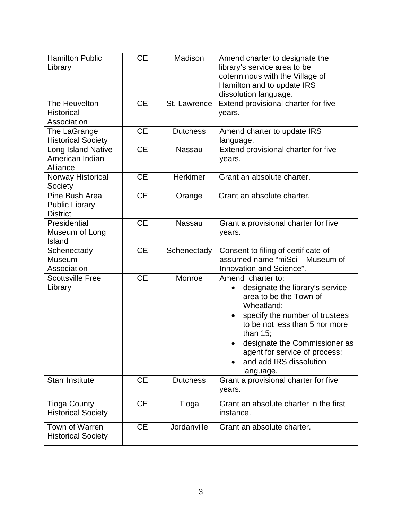| <b>Hamilton Public</b><br>Library                          | <b>CE</b> | Madison         | Amend charter to designate the<br>library's service area to be<br>coterminous with the Village of<br>Hamilton and to update IRS<br>dissolution language.                                                                                                                                  |
|------------------------------------------------------------|-----------|-----------------|-------------------------------------------------------------------------------------------------------------------------------------------------------------------------------------------------------------------------------------------------------------------------------------------|
| The Heuvelton<br><b>Historical</b><br>Association          | <b>CE</b> | St. Lawrence    | Extend provisional charter for five<br>years.                                                                                                                                                                                                                                             |
| The LaGrange<br><b>Historical Society</b>                  | <b>CE</b> | <b>Dutchess</b> | Amend charter to update IRS<br>language.                                                                                                                                                                                                                                                  |
| Long Island Native<br>American Indian<br>Alliance          | <b>CE</b> | <b>Nassau</b>   | Extend provisional charter for five<br>years.                                                                                                                                                                                                                                             |
| Norway Historical<br>Society                               | <b>CE</b> | Herkimer        | Grant an absolute charter.                                                                                                                                                                                                                                                                |
| Pine Bush Area<br><b>Public Library</b><br><b>District</b> | <b>CE</b> | Orange          | Grant an absolute charter.                                                                                                                                                                                                                                                                |
| Presidential<br>Museum of Long<br>Island                   | <b>CE</b> | <b>Nassau</b>   | Grant a provisional charter for five<br>years.                                                                                                                                                                                                                                            |
| Schenectady<br>Museum<br>Association                       | <b>CE</b> | Schenectady     | Consent to filing of certificate of<br>assumed name "miSci - Museum of<br>Innovation and Science".                                                                                                                                                                                        |
| <b>Scottsville Free</b><br>Library                         | <b>CE</b> | Monroe          | Amend charter to:<br>designate the library's service<br>area to be the Town of<br>Wheatland;<br>specify the number of trustees<br>to be not less than 5 nor more<br>than $15$ ;<br>designate the Commissioner as<br>agent for service of process;<br>and add IRS dissolution<br>language. |
| <b>Starr Institute</b>                                     | <b>CE</b> | <b>Dutchess</b> | Grant a provisional charter for five<br>years.                                                                                                                                                                                                                                            |
| <b>Tioga County</b><br><b>Historical Society</b>           | <b>CE</b> | Tioga           | Grant an absolute charter in the first<br>instance.                                                                                                                                                                                                                                       |
| Town of Warren<br><b>Historical Society</b>                | <b>CE</b> | Jordanville     | Grant an absolute charter.                                                                                                                                                                                                                                                                |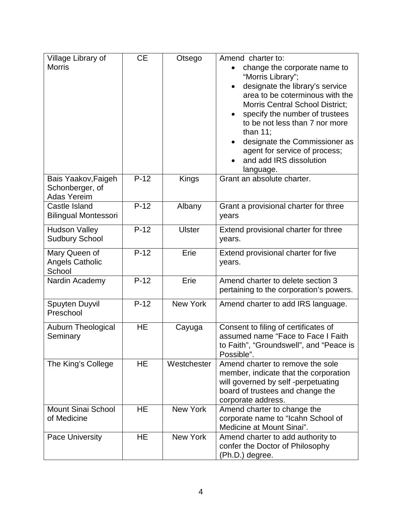| Village Library of<br><b>Morris</b>                          | <b>CE</b> | Otsego          | Amend charter to:<br>change the corporate name to<br>"Morris Library";<br>designate the library's service<br>area to be coterminous with the<br><b>Morris Central School District;</b><br>specify the number of trustees<br>to be not less than 7 nor more<br>than $11$ ;<br>designate the Commissioner as<br>agent for service of process;<br>and add IRS dissolution<br>language. |
|--------------------------------------------------------------|-----------|-----------------|-------------------------------------------------------------------------------------------------------------------------------------------------------------------------------------------------------------------------------------------------------------------------------------------------------------------------------------------------------------------------------------|
| Bais Yaakov, Faigeh<br>Schonberger, of<br><b>Adas Yereim</b> | $P-12$    | Kings           | Grant an absolute charter.                                                                                                                                                                                                                                                                                                                                                          |
| Castle Island<br><b>Bilingual Montessori</b>                 | $P-12$    | Albany          | Grant a provisional charter for three<br>years                                                                                                                                                                                                                                                                                                                                      |
| <b>Hudson Valley</b><br><b>Sudbury School</b>                | $P-12$    | <b>Ulster</b>   | Extend provisional charter for three<br>years.                                                                                                                                                                                                                                                                                                                                      |
| Mary Queen of<br><b>Angels Catholic</b><br>School            | $P-12$    | Erie            | Extend provisional charter for five<br>years.                                                                                                                                                                                                                                                                                                                                       |
| Nardin Academy                                               | $P-12$    | Erie            | Amend charter to delete section 3<br>pertaining to the corporation's powers.                                                                                                                                                                                                                                                                                                        |
| Spuyten Duyvil<br>Preschool                                  | $P-12$    | New York        | Amend charter to add IRS language.                                                                                                                                                                                                                                                                                                                                                  |
| <b>Auburn Theological</b><br>Seminary                        | <b>HE</b> | Cayuga          | Consent to filing of certificates of<br>assumed name "Face to Face I Faith<br>to Faith", "Groundswell", and "Peace is<br>Possible".                                                                                                                                                                                                                                                 |
| The King's College                                           | <b>HE</b> | Westchester     | Amend charter to remove the sole<br>member, indicate that the corporation<br>will governed by self-perpetuating<br>board of trustees and change the<br>corporate address.                                                                                                                                                                                                           |
| <b>Mount Sinai School</b><br>of Medicine                     | HE        | <b>New York</b> | Amend charter to change the<br>corporate name to "Icahn School of<br>Medicine at Mount Sinai".                                                                                                                                                                                                                                                                                      |
| Pace University                                              | <b>HE</b> | New York        | Amend charter to add authority to<br>confer the Doctor of Philosophy<br>(Ph.D.) degree.                                                                                                                                                                                                                                                                                             |